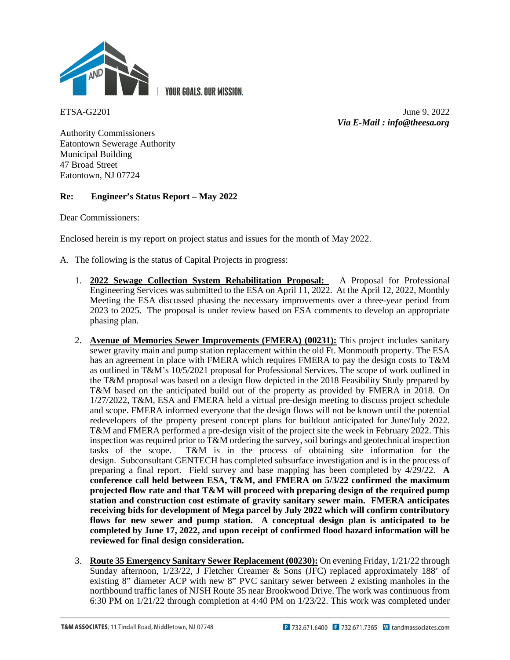

**YOUR GOALS, OUR MISSION.** 

ETSA-G2201 June 9, 2022 *Via E-Mail : info@theesa.org*

Authority Commissioners Eatontown Sewerage Authority Municipal Building 47 Broad Street Eatontown, NJ 07724

# **Re: Engineer's Status Report – May 2022**

Dear Commissioners:

Enclosed herein is my report on project status and issues for the month of May 2022.

- A. The following is the status of Capital Projects in progress:
	- 1. **2022 Sewage Collection System Rehabilitation Proposal:** A Proposal for Professional Engineering Services was submitted to the ESA on April 11, 2022. At the April 12, 2022, Monthly Meeting the ESA discussed phasing the necessary improvements over a three-year period from 2023 to 2025. The proposal is under review based on ESA comments to develop an appropriate phasing plan.
	- 2. **Avenue of Memories Sewer Improvements (FMERA) (00231):** This project includes sanitary sewer gravity main and pump station replacement within the old Ft. Monmouth property. The ESA has an agreement in place with FMERA which requires FMERA to pay the design costs to T&M as outlined in T&M's 10/5/2021 proposal for Professional Services. The scope of work outlined in the T&M proposal was based on a design flow depicted in the 2018 Feasibility Study prepared by T&M based on the anticipated build out of the property as provided by FMERA in 2018. On 1/27/2022, T&M, ESA and FMERA held a virtual pre-design meeting to discuss project schedule and scope. FMERA informed everyone that the design flows will not be known until the potential redevelopers of the property present concept plans for buildout anticipated for June/July 2022. T&M and FMERA performed a pre-design visit of the project site the week in February 2022. This inspection was required prior to  $T\&M$  ordering the survey, soil borings and geotechnical inspection tasks of the scope.  $T\&M$  is in the process of obtaining site information for the  $T&M$  is in the process of obtaining site information for the design. Subconsultant GENTECH has completed subsurface investigation and is in the process of preparing a final report. Field survey and base mapping has been completed by 4/29/22. **A conference call held between ESA, T&M, and FMERA on 5/3/22 confirmed the maximum projected flow rate and that T&M will proceed with preparing design of the required pump station and construction cost estimate of gravity sanitary sewer main. FMERA anticipates receiving bids for development of Mega parcel by July 2022 which will confirm contributory flows for new sewer and pump station. A conceptual design plan is anticipated to be completed by June 17, 2022, and upon receipt of confirmed flood hazard information will be reviewed for final design consideration.**
	- 3. **Route 35 Emergency Sanitary Sewer Replacement (00230):** On evening Friday, 1/21/22 through Sunday afternoon, 1/23/22, J Fletcher Creamer & Sons (JFC) replaced approximately 188' of existing 8" diameter ACP with new 8" PVC sanitary sewer between 2 existing manholes in the northbound traffic lanes of NJSH Route 35 near Brookwood Drive. The work was continuous from 6:30 PM on 1/21/22 through completion at 4:40 PM on 1/23/22. This work was completed under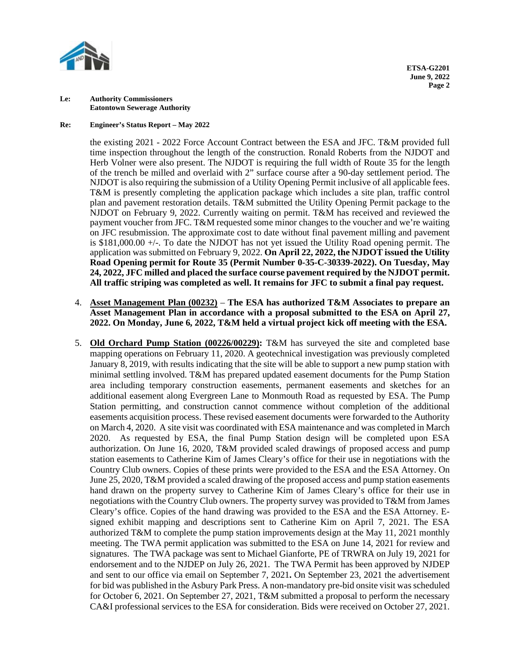

### **Re: Engineer's Status Report – May 2022**

the existing 2021 - 2022 Force Account Contract between the ESA and JFC. T&M provided full time inspection throughout the length of the construction. Ronald Roberts from the NJDOT and Herb Volner were also present. The NJDOT is requiring the full width of Route 35 for the length of the trench be milled and overlaid with 2" surface course after a 90-day settlement period. The NJDOT is also requiring the submission of a Utility Opening Permit inclusive of all applicable fees. T&M is presently completing the application package which includes a site plan, traffic control plan and pavement restoration details. T&M submitted the Utility Opening Permit package to the NJDOT on February 9, 2022. Currently waiting on permit. T&M has received and reviewed the payment voucher from JFC. T&M requested some minor changes to the voucher and we're waiting on JFC resubmission. The approximate cost to date without final pavement milling and pavement is \$181,000.00 +/-. To date the NJDOT has not yet issued the Utility Road opening permit. The application was submitted on February 9, 2022. **On April 22, 2022, the NJDOT issued the Utility Road Opening permit for Route 35 (Permit Number 0-35-C-30339-2022). On Tuesday, May 24, 2022, JFC milled and placed the surface course pavement required by the NJDOT permit. All traffic striping was completed as well. It remains for JFC to submit a final pay request.** 

- 4. **Asset Management Plan (00232) The ESA has authorized T&M Associates to prepare an Asset Management Plan in accordance with a proposal submitted to the ESA on April 27, 2022. On Monday, June 6, 2022, T&M held a virtual project kick off meeting with the ESA.**
- 5. **Old Orchard Pump Station (00226/00229):** T&M has surveyed the site and completed base mapping operations on February 11, 2020. A geotechnical investigation was previously completed January 8, 2019, with results indicating that the site will be able to support a new pump station with minimal settling involved. T&M has prepared updated easement documents for the Pump Station area including temporary construction easements, permanent easements and sketches for an additional easement along Evergreen Lane to Monmouth Road as requested by ESA. The Pump Station permitting, and construction cannot commence without completion of the additional easements acquisition process. These revised easement documents were forwarded to the Authority on March 4, 2020. A site visit was coordinated with ESA maintenance and was completed in March 2020. As requested by ESA, the final Pump Station design will be completed upon ESA authorization. On June 16, 2020, T&M provided scaled drawings of proposed access and pump station easements to Catherine Kim of James Cleary's office for their use in negotiations with the Country Club owners. Copies of these prints were provided to the ESA and the ESA Attorney. On June 25, 2020, T&M provided a scaled drawing of the proposed access and pump station easements hand drawn on the property survey to Catherine Kim of James Cleary's office for their use in negotiations with the Country Club owners. The property survey was provided to T&M from James Cleary's office. Copies of the hand drawing was provided to the ESA and the ESA Attorney. Esigned exhibit mapping and descriptions sent to Catherine Kim on April 7, 2021. The ESA authorized T&M to complete the pump station improvements design at the May 11, 2021 monthly meeting. The TWA permit application was submitted to the ESA on June 14, 2021 for review and signatures.The TWA package was sent to Michael Gianforte, PE of TRWRA on July 19, 2021 for endorsement and to the NJDEP on July 26, 2021.The TWA Permit has been approved by NJDEP and sent to our office via email on September 7, 2021**.** On September 23, 2021 the advertisement for bid was published in the Asbury Park Press. A non-mandatory pre-bid onsite visit was scheduled for October 6, 2021. On September 27, 2021, T&M submitted a proposal to perform the necessary CA&I professional services to the ESA for consideration. Bids were received on October 27, 2021.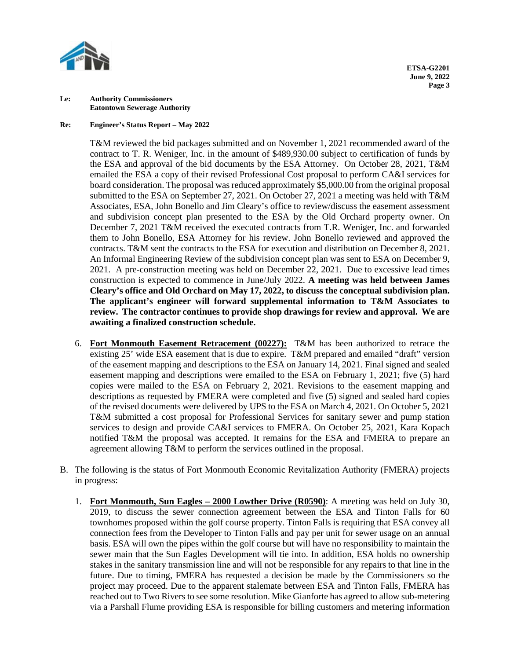

# **Re: Engineer's Status Report – May 2022**

T&M reviewed the bid packages submitted and on November 1, 2021 recommended award of the contract to T. R. Weniger, Inc. in the amount of \$489,930.00 subject to certification of funds by the ESA and approval of the bid documents by the ESA Attorney. On October 28, 2021, T&M emailed the ESA a copy of their revised Professional Cost proposal to perform CA&I services for board consideration. The proposal was reduced approximately \$5,000.00 from the original proposal submitted to the ESA on September 27, 2021. On October 27, 2021 a meeting was held with T&M Associates, ESA, John Bonello and Jim Cleary's office to review/discuss the easement assessment and subdivision concept plan presented to the ESA by the Old Orchard property owner. On December 7, 2021 T&M received the executed contracts from T.R. Weniger, Inc. and forwarded them to John Bonello, ESA Attorney for his review. John Bonello reviewed and approved the contracts. T&M sent the contracts to the ESA for execution and distribution on December 8, 2021. An Informal Engineering Review of the subdivision concept plan was sent to ESA on December 9, 2021. A pre-construction meeting was held on December 22, 2021. Due to excessive lead times construction is expected to commence in June/July 2022. **A meeting was held between James Cleary's office and Old Orchard on May 17, 2022, to discuss the conceptual subdivision plan. The applicant's engineer will forward supplemental information to T&M Associates to review. The contractor continues to provide shop drawings for review and approval. We are awaiting a finalized construction schedule.** 

- 6. **Fort Monmouth Easement Retracement (00227):** T&M has been authorized to retrace the existing 25' wide ESA easement that is due to expire. T&M prepared and emailed "draft" version of the easement mapping and descriptions to the ESA on January 14, 2021. Final signed and sealed easement mapping and descriptions were emailed to the ESA on February 1, 2021; five (5) hard copies were mailed to the ESA on February 2, 2021. Revisions to the easement mapping and descriptions as requested by FMERA were completed and five (5) signed and sealed hard copies of the revised documents were delivered by UPS to the ESA on March 4, 2021. On October 5, 2021 T&M submitted a cost proposal for Professional Services for sanitary sewer and pump station services to design and provide CA&I services to FMERA. On October 25, 2021, Kara Kopach notified T&M the proposal was accepted. It remains for the ESA and FMERA to prepare an agreement allowing T&M to perform the services outlined in the proposal.
- B. The following is the status of Fort Monmouth Economic Revitalization Authority (FMERA) projects in progress:
	- 1. **Fort Monmouth, Sun Eagles – 2000 Lowther Drive (R0590)**: A meeting was held on July 30, 2019, to discuss the sewer connection agreement between the ESA and Tinton Falls for 60 townhomes proposed within the golf course property. Tinton Falls is requiring that ESA convey all connection fees from the Developer to Tinton Falls and pay per unit for sewer usage on an annual basis. ESA will own the pipes within the golf course but will have no responsibility to maintain the sewer main that the Sun Eagles Development will tie into. In addition, ESA holds no ownership stakes in the sanitary transmission line and will not be responsible for any repairs to that line in the future. Due to timing, FMERA has requested a decision be made by the Commissioners so the project may proceed. Due to the apparent stalemate between ESA and Tinton Falls, FMERA has reached out to Two Rivers to see some resolution. Mike Gianforte has agreed to allow sub-metering via a Parshall Flume providing ESA is responsible for billing customers and metering information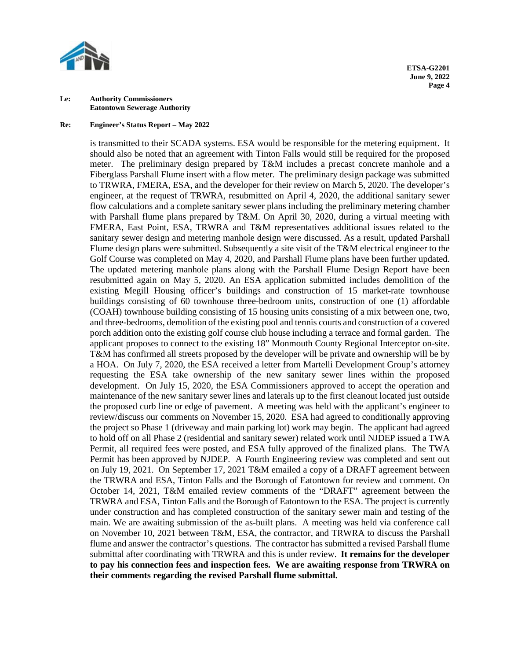

#### **Re: Engineer's Status Report – May 2022**

is transmitted to their SCADA systems. ESA would be responsible for the metering equipment. It should also be noted that an agreement with Tinton Falls would still be required for the proposed meter. The preliminary design prepared by T&M includes a precast concrete manhole and a Fiberglass Parshall Flume insert with a flow meter. The preliminary design package was submitted to TRWRA, FMERA, ESA, and the developer for their review on March 5, 2020. The developer's engineer, at the request of TRWRA, resubmitted on April 4, 2020, the additional sanitary sewer flow calculations and a complete sanitary sewer plans including the preliminary metering chamber with Parshall flume plans prepared by T&M. On April 30, 2020, during a virtual meeting with FMERA, East Point, ESA, TRWRA and T&M representatives additional issues related to the sanitary sewer design and metering manhole design were discussed. As a result, updated Parshall Flume design plans were submitted. Subsequently a site visit of the  $T\&M$  electrical engineer to the Golf Course was completed on May 4, 2020, and Parshall Flume plans have been further updated. The updated metering manhole plans along with the Parshall Flume Design Report have been resubmitted again on May 5, 2020. An ESA application submitted includes demolition of the existing Megill Housing officer's buildings and construction of 15 market-rate townhouse buildings consisting of 60 townhouse three-bedroom units, construction of one (1) affordable (COAH) townhouse building consisting of 15 housing units consisting of a mix between one, two, and three-bedrooms, demolition of the existing pool and tennis courts and construction of a covered porch addition onto the existing golf course club house including a terrace and formal garden. The applicant proposes to connect to the existing 18" Monmouth County Regional Interceptor on-site. T&M has confirmed all streets proposed by the developer will be private and ownership will be by a HOA. On July 7, 2020, the ESA received a letter from Martelli Development Group's attorney requesting the ESA take ownership of the new sanitary sewer lines within the proposed development. On July 15, 2020, the ESA Commissioners approved to accept the operation and maintenance of the new sanitary sewer lines and laterals up to the first cleanout located just outside the proposed curb line or edge of pavement.A meeting was held with the applicant's engineer to review/discuss our comments on November 15, 2020.ESA had agreed to conditionally approving the project so Phase 1 (driveway and main parking lot) work may begin. The applicant had agreed to hold off on all Phase 2 (residential and sanitary sewer) related work until NJDEP issued a TWA Permit, all required fees were posted, and ESA fully approved of the finalized plans. The TWA Permit has been approved by NJDEP. A Fourth Engineering review was completed and sent out on July 19, 2021.On September 17, 2021 T&M emailed a copy of a DRAFT agreement between the TRWRA and ESA, Tinton Falls and the Borough of Eatontown for review and comment. On October 14, 2021, T&M emailed review comments of the "DRAFT" agreement between the TRWRA and ESA, Tinton Falls and the Borough of Eatontown to the ESA. The project is currently under construction and has completed construction of the sanitary sewer main and testing of the main. We are awaiting submission of the as-built plans. A meeting was held via conference call on November 10, 2021 between T&M, ESA, the contractor, and TRWRA to discuss the Parshall flume and answer the contractor's questions. The contractor has submitted a revised Parshall flume submittal after coordinating with TRWRA and this is under review. **It remains for the developer to pay his connection fees and inspection fees. We are awaiting response from TRWRA on their comments regarding the revised Parshall flume submittal.**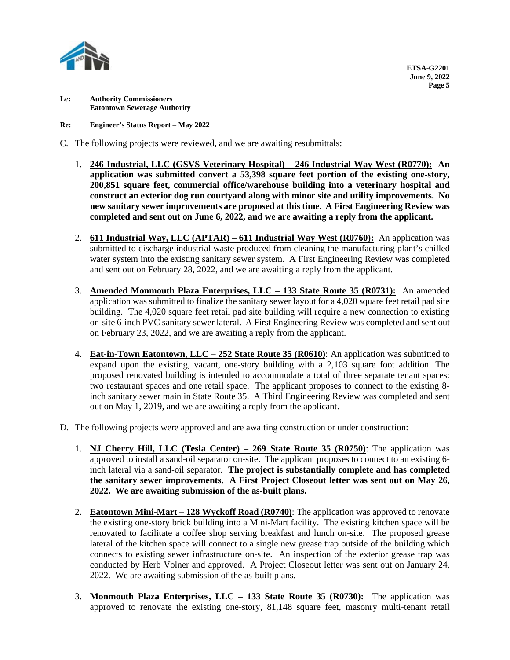

**Re: Engineer's Status Report – May 2022**

- C. The following projects were reviewed, and we are awaiting resubmittals:
	- 1. **246 Industrial, LLC (GSVS Veterinary Hospital) – 246 Industrial Way West (R0770): An application was submitted convert a 53,398 square feet portion of the existing one-story, 200,851 square feet, commercial office/warehouse building into a veterinary hospital and construct an exterior dog run courtyard along with minor site and utility improvements. No new sanitary sewer improvements are proposed at this time. A First Engineering Review was completed and sent out on June 6, 2022, and we are awaiting a reply from the applicant.**
	- 2. **611 Industrial Way, LLC (APTAR) – 611 Industrial Way West (R0760):** An application was submitted to discharge industrial waste produced from cleaning the manufacturing plant's chilled water system into the existing sanitary sewer system. A First Engineering Review was completed and sent out on February 28, 2022, and we are awaiting a reply from the applicant.
	- 3. **Amended Monmouth Plaza Enterprises, LLC – 133 State Route 35 (R0731):** An amended application was submitted to finalize the sanitary sewer layout for a 4,020 square feet retail pad site building. The 4,020 square feet retail pad site building will require a new connection to existing on-site 6-inch PVC sanitary sewer lateral. A First Engineering Review was completed and sent out on February 23, 2022, and we are awaiting a reply from the applicant.
	- 4. **Eat-in-Town Eatontown, LLC – 252 State Route 35 (R0610)**: An application was submitted to expand upon the existing, vacant, one-story building with a 2,103 square foot addition. The proposed renovated building is intended to accommodate a total of three separate tenant spaces: two restaurant spaces and one retail space. The applicant proposes to connect to the existing 8 inch sanitary sewer main in State Route 35. A Third Engineering Review was completed and sent out on May 1, 2019, and we are awaiting a reply from the applicant.
- D. The following projects were approved and are awaiting construction or under construction:
	- 1. **NJ Cherry Hill, LLC (Tesla Center) – 269 State Route 35 (R0750)**: The application was approved to install a sand-oil separator on-site. The applicant proposes to connect to an existing 6 inch lateral via a sand-oil separator. **The project is substantially complete and has completed the sanitary sewer improvements. A First Project Closeout letter was sent out on May 26, 2022. We are awaiting submission of the as-built plans.**
	- 2. **Eatontown Mini-Mart – 128 Wyckoff Road (R0740)**: The application was approved to renovate the existing one-story brick building into a Mini-Mart facility. The existing kitchen space will be renovated to facilitate a coffee shop serving breakfast and lunch on-site. The proposed grease lateral of the kitchen space will connect to a single new grease trap outside of the building which connects to existing sewer infrastructure on-site.An inspection of the exterior grease trap was conducted by Herb Volner and approved. A Project Closeout letter was sent out on January 24, 2022. We are awaiting submission of the as-built plans.
	- 3. **Monmouth Plaza Enterprises, LLC – 133 State Route 35 (R0730):** The application was approved to renovate the existing one-story, 81,148 square feet, masonry multi-tenant retail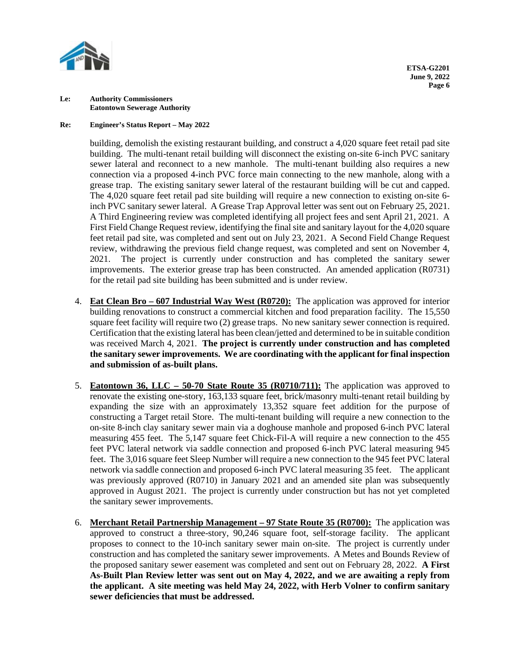

# **Re: Engineer's Status Report – May 2022**

building, demolish the existing restaurant building, and construct a 4,020 square feet retail pad site building. The multi-tenant retail building will disconnect the existing on-site 6-inch PVC sanitary sewer lateral and reconnect to a new manhole. The multi-tenant building also requires a new connection via a proposed 4-inch PVC force main connecting to the new manhole, along with a grease trap. The existing sanitary sewer lateral of the restaurant building will be cut and capped. The 4,020 square feet retail pad site building will require a new connection to existing on-site 6 inch PVC sanitary sewer lateral. A Grease Trap Approval letter was sent out on February 25, 2021. A Third Engineering review was completed identifying all project fees and sent April 21, 2021. A First Field Change Request review, identifying the final site and sanitary layout for the 4,020 square feet retail pad site, was completed and sent out on July 23, 2021.A Second Field Change Request review, withdrawing the previous field change request, was completed and sent on November 4, 2021. The project is currently under construction and has completed the sanitary sewer improvements. The exterior grease trap has been constructed.An amended application (R0731) for the retail pad site building has been submitted and is under review.

- 4. **Eat Clean Bro – 607 Industrial Way West (R0720):** The application was approved for interior building renovations to construct a commercial kitchen and food preparation facility. The 15,550 square feet facility will require two (2) grease traps. No new sanitary sewer connection is required. Certification that the existing lateral has been clean/jetted and determined to be in suitable condition was received March 4, 2021. **The project is currently under construction and has completed the sanitary sewer improvements. We are coordinating with the applicant for final inspection and submission of as-built plans.**
- 5. **Eatontown 36, LLC – 50-70 State Route 35 (R0710/711):** The application was approved to renovate the existing one-story, 163,133 square feet, brick/masonry multi-tenant retail building by expanding the size with an approximately 13,352 square feet addition for the purpose of constructing a Target retail Store. The multi-tenant building will require a new connection to the on-site 8-inch clay sanitary sewer main via a doghouse manhole and proposed 6-inch PVC lateral measuring 455 feet. The 5,147 square feet Chick-Fil-A will require a new connection to the 455 feet PVC lateral network via saddle connection and proposed 6-inch PVC lateral measuring 945 feet. The 3,016 square feet Sleep Number will require a new connection to the 945 feet PVC lateral network via saddle connection and proposed 6-inch PVC lateral measuring 35 feet. The applicant was previously approved (R0710) in January 2021 and an amended site plan was subsequently approved in August 2021.The project is currently under construction but has not yet completed the sanitary sewer improvements.
- 6. **Merchant Retail Partnership Management – 97 State Route 35 (R0700):** The application was approved to construct a three-story, 90,246 square foot, self-storage facility. The applicant proposes to connect to the 10-inch sanitary sewer main on-site. The project is currently under construction and has completed the sanitary sewer improvements. A Metes and Bounds Review of the proposed sanitary sewer easement was completed and sent out on February 28, 2022. **A First As-Built Plan Review letter was sent out on May 4, 2022, and we are awaiting a reply from the applicant. A site meeting was held May 24, 2022, with Herb Volner to confirm sanitary sewer deficiencies that must be addressed.**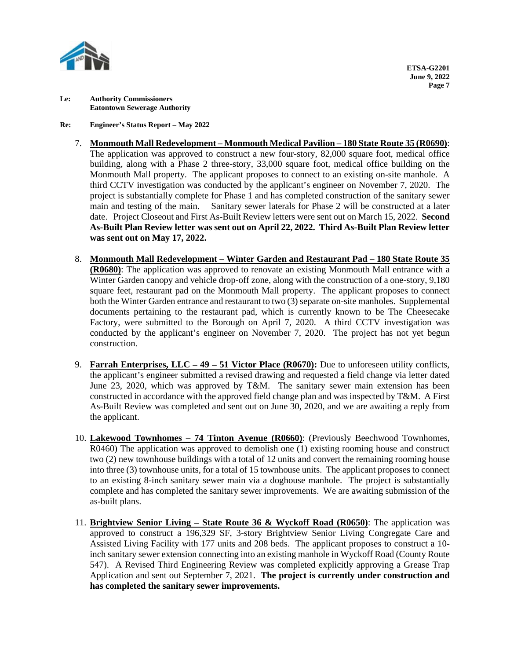

# **Re: Engineer's Status Report – May 2022**

- 7. **Monmouth Mall Redevelopment – Monmouth Medical Pavilion – 180 State Route 35 (R0690)**: The application was approved to construct a new four-story, 82,000 square foot, medical office building, along with a Phase 2 three-story, 33,000 square foot, medical office building on the Monmouth Mall property. The applicant proposes to connect to an existing on-site manhole. A third CCTV investigation was conducted by the applicant's engineer on November 7, 2020. The project is substantially complete for Phase 1 and has completed construction of the sanitary sewer main and testing of the main. Sanitary sewer laterals for Phase 2 will be constructed at a later date. Project Closeout and First As-Built Review letters were sent out on March 15, 2022. **Second As-Built Plan Review letter was sent out on April 22, 2022. Third As-Built Plan Review letter was sent out on May 17, 2022.**
- 8. **Monmouth Mall Redevelopment – Winter Garden and Restaurant Pad – 180 State Route 35 (R0680)**: The application was approved to renovate an existing Monmouth Mall entrance with a Winter Garden canopy and vehicle drop-off zone, along with the construction of a one-story, 9,180 square feet, restaurant pad on the Monmouth Mall property. The applicant proposes to connect both the Winter Garden entrance and restaurant to two (3) separate on-site manholes. Supplemental documents pertaining to the restaurant pad, which is currently known to be The Cheesecake Factory, were submitted to the Borough on April 7, 2020. A third CCTV investigation was conducted by the applicant's engineer on November 7, 2020. The project has not yet begun construction.
- 9. **Farrah Enterprises, LLC – 49 – 51 Victor Place (R0670):** Due to unforeseen utility conflicts, the applicant's engineer submitted a revised drawing and requested a field change via letter dated June 23, 2020, which was approved by T&M. The sanitary sewer main extension has been constructed in accordance with the approved field change plan and was inspected by T&M. A First As-Built Review was completed and sent out on June 30, 2020, and we are awaiting a reply from the applicant.
- 10. **Lakewood Townhomes – 74 Tinton Avenue (R0660)**: (Previously Beechwood Townhomes, R0460) The application was approved to demolish one (1) existing rooming house and construct two (2) new townhouse buildings with a total of 12 units and convert the remaining rooming house into three (3) townhouse units, for a total of 15 townhouse units. The applicant proposes to connect to an existing 8-inch sanitary sewer main via a doghouse manhole. The project is substantially complete and has completed the sanitary sewer improvements. We are awaiting submission of the as-built plans.
- 11. **Brightview Senior Living – State Route 36 & Wyckoff Road (R0650)**: The application was approved to construct a 196,329 SF, 3-story Brightview Senior Living Congregate Care and Assisted Living Facility with 177 units and 208 beds. The applicant proposes to construct a 10 inch sanitary sewer extension connecting into an existing manhole in Wyckoff Road (County Route 547). A Revised Third Engineering Review was completed explicitly approving a Grease Trap Application and sent out September 7, 2021. **The project is currently under construction and has completed the sanitary sewer improvements.**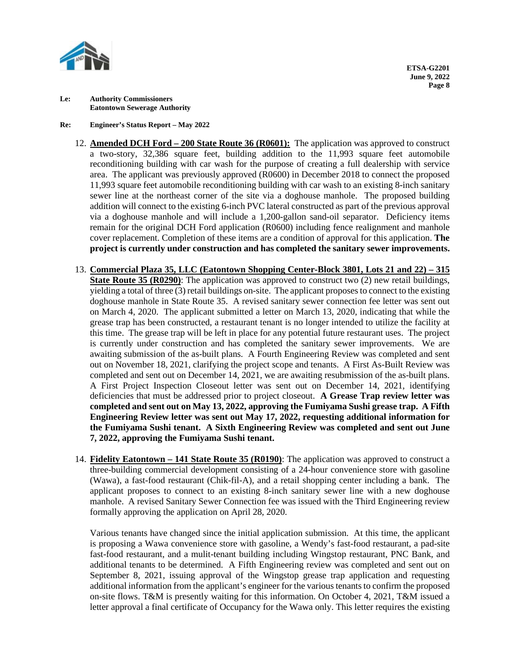

# **Re: Engineer's Status Report – May 2022**

- 12. **Amended DCH Ford – 200 State Route 36 (R0601):** The application was approved to construct a two-story, 32,386 square feet, building addition to the 11,993 square feet automobile reconditioning building with car wash for the purpose of creating a full dealership with service area. The applicant was previously approved (R0600) in December 2018 to connect the proposed 11,993 square feet automobile reconditioning building with car wash to an existing 8-inch sanitary sewer line at the northeast corner of the site via a doghouse manhole. The proposed building addition will connect to the existing 6-inch PVC lateral constructed as part of the previous approval via a doghouse manhole and will include a 1,200-gallon sand-oil separator. Deficiency items remain for the original DCH Ford application (R0600) including fence realignment and manhole cover replacement. Completion of these items are a condition of approval for this application. **The project is currently under construction and has completed the sanitary sewer improvements.**
- 13. **Commercial Plaza 35, LLC (Eatontown Shopping Center-Block 3801, Lots 21 and 22) – 315 State Route 35 (R0290)**: The application was approved to construct two (2) new retail buildings, yielding a total of three (3) retail buildings on-site. The applicant proposes to connect to the existing doghouse manhole in State Route 35. A revised sanitary sewer connection fee letter was sent out on March 4, 2020. The applicant submitted a letter on March 13, 2020, indicating that while the grease trap has been constructed, a restaurant tenant is no longer intended to utilize the facility at this time. The grease trap will be left in place for any potential future restaurant uses. The project is currently under construction and has completed the sanitary sewer improvements. We are awaiting submission of the as-built plans. A Fourth Engineering Review was completed and sent out on November 18, 2021, clarifying the project scope and tenants.A First As-Built Review was completed and sent out on December 14, 2021, we are awaiting resubmission of the as-built plans. A First Project Inspection Closeout letter was sent out on December 14, 2021, identifying deficiencies that must be addressed prior to project closeout. **A Grease Trap review letter was completed and sent out on May 13, 2022, approving the Fumiyama Sushi grease trap. A Fifth Engineering Review letter was sent out May 17, 2022, requesting additional information for the Fumiyama Sushi tenant. A Sixth Engineering Review was completed and sent out June 7, 2022, approving the Fumiyama Sushi tenant.**
- 14. **Fidelity Eatontown – 141 State Route 35 (R0190)**: The application was approved to construct a three-building commercial development consisting of a 24-hour convenience store with gasoline (Wawa), a fast-food restaurant (Chik-fil-A), and a retail shopping center including a bank. The applicant proposes to connect to an existing 8-inch sanitary sewer line with a new doghouse manhole. A revised Sanitary Sewer Connection fee was issued with the Third Engineering review formally approving the application on April 28, 2020.

Various tenants have changed since the initial application submission. At this time, the applicant is proposing a Wawa convenience store with gasoline, a Wendy's fast-food restaurant, a pad-site fast-food restaurant, and a mulit-tenant building including Wingstop restaurant, PNC Bank, and additional tenants to be determined. A Fifth Engineering review was completed and sent out on September 8, 2021, issuing approval of the Wingstop grease trap application and requesting additional information from the applicant's engineer for the various tenants to confirm the proposed on-site flows. T&M is presently waiting for this information. On October 4, 2021, T&M issued a letter approval a final certificate of Occupancy for the Wawa only. This letter requires the existing